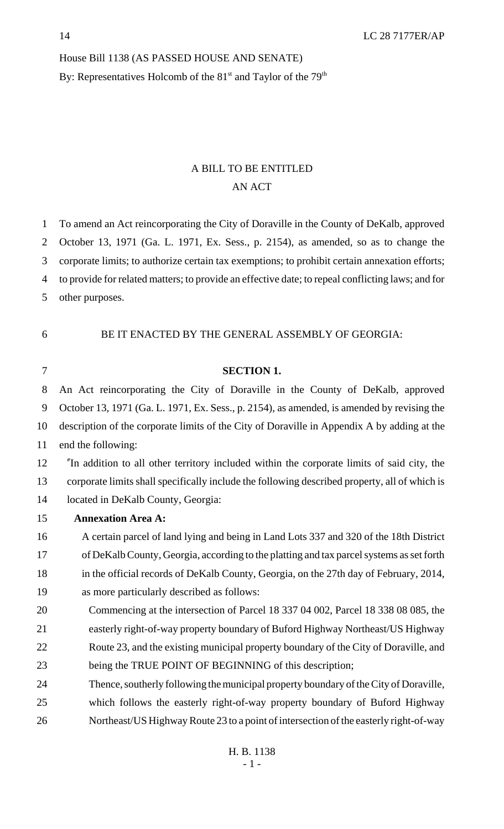#### House Bill 1138 (AS PASSED HOUSE AND SENATE)

By: Representatives Holcomb of the  $81<sup>st</sup>$  and Taylor of the  $79<sup>th</sup>$ 

# A BILL TO BE ENTITLED AN ACT

|  |  |  |  |  |  |  | To amend an Act reincorporating the City of Doraville in the County of DeKalb, approved |
|--|--|--|--|--|--|--|-----------------------------------------------------------------------------------------|
|--|--|--|--|--|--|--|-----------------------------------------------------------------------------------------|

October 13, 1971 (Ga. L. 1971, Ex. Sess., p. 2154), as amended, so as to change the

corporate limits; to authorize certain tax exemptions; to prohibit certain annexation efforts;

to provide for related matters; to provide an effective date; to repeal conflicting laws; and for

- other purposes.
- BE IT ENACTED BY THE GENERAL ASSEMBLY OF GEORGIA:
- 

### **SECTION 1.**

 An Act reincorporating the City of Doraville in the County of DeKalb, approved October 13, 1971 (Ga. L. 1971, Ex. Sess., p. 2154), as amended, is amended by revising the description of the corporate limits of the City of Doraville in Appendix A by adding at the

end the following:

 "In addition to all other territory included within the corporate limits of said city, the corporate limits shall specifically include the following described property, all of which is located in DeKalb County, Georgia:

#### **Annexation Area A:**

 A certain parcel of land lying and being in Land Lots 337 and 320 of the 18th District of DeKalb County, Georgia, according to the platting and tax parcel systems as set forth in the official records of DeKalb County, Georgia, on the 27th day of February, 2014,

- as more particularly described as follows:
- Commencing at the intersection of Parcel 18 337 04 002, Parcel 18 338 08 085, the easterly right-of-way property boundary of Buford Highway Northeast/US Highway Route 23, and the existing municipal property boundary of the City of Doraville, and being the TRUE POINT OF BEGINNING of this description;
- Thence, southerly following the municipal property boundary of the City of Doraville,
- which follows the easterly right-of-way property boundary of Buford Highway Northeast/US Highway Route 23 to a point of intersection of the easterly right-of-way
	- H. B. 1138 - 1 -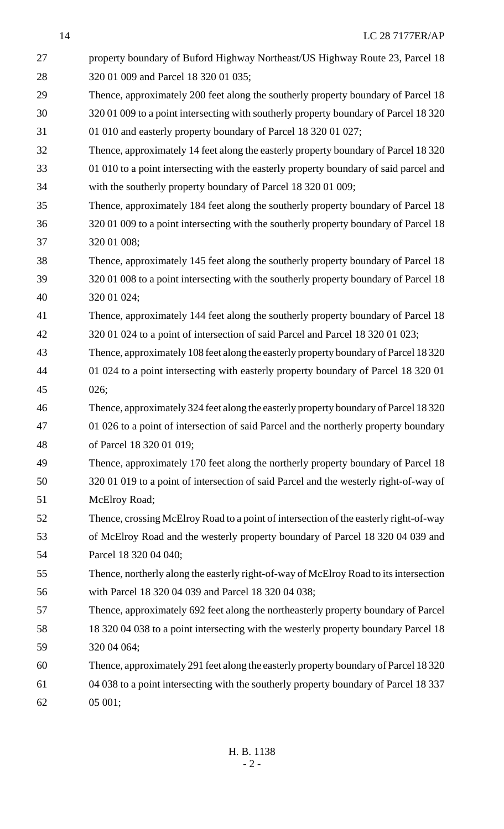| 27 | property boundary of Buford Highway Northeast/US Highway Route 23, Parcel 18          |
|----|---------------------------------------------------------------------------------------|
| 28 | 320 01 009 and Parcel 18 320 01 035;                                                  |
| 29 | Thence, approximately 200 feet along the southerly property boundary of Parcel 18     |
| 30 | 320 01 009 to a point intersecting with southerly property boundary of Parcel 18 320  |
| 31 | 01 010 and easterly property boundary of Parcel 18 320 01 027;                        |
| 32 | Thence, approximately 14 feet along the easterly property boundary of Parcel 18 320   |
| 33 | 01 010 to a point intersecting with the easterly property boundary of said parcel and |
| 34 | with the southerly property boundary of Parcel 18 320 01 009;                         |
| 35 | Thence, approximately 184 feet along the southerly property boundary of Parcel 18     |
| 36 | 320 01 009 to a point intersecting with the southerly property boundary of Parcel 18  |
| 37 | 320 01 008;                                                                           |
| 38 | Thence, approximately 145 feet along the southerly property boundary of Parcel 18     |
| 39 | 320 01 008 to a point intersecting with the southerly property boundary of Parcel 18  |
| 40 | 320 01 024;                                                                           |
| 41 | Thence, approximately 144 feet along the southerly property boundary of Parcel 18     |
| 42 | 320 01 024 to a point of intersection of said Parcel and Parcel 18 320 01 023;        |
| 43 | Thence, approximately 108 feet along the easterly property boundary of Parcel 18320   |
| 44 | 01 024 to a point intersecting with easterly property boundary of Parcel 18 320 01    |
| 45 | 026;                                                                                  |
| 46 | Thence, approximately 324 feet along the easterly property boundary of Parcel 18 320  |
| 47 | 01 026 to a point of intersection of said Parcel and the northerly property boundary  |
| 48 | of Parcel 18 320 01 019;                                                              |
| 49 | Thence, approximately 170 feet along the northerly property boundary of Parcel 18     |
| 50 | 320 01 019 to a point of intersection of said Parcel and the westerly right-of-way of |
| 51 | McElroy Road;                                                                         |
| 52 | Thence, crossing McElroy Road to a point of intersection of the easterly right-of-way |
| 53 | of McElroy Road and the westerly property boundary of Parcel 18 320 04 039 and        |
| 54 | Parcel 18 320 04 040;                                                                 |
| 55 | Thence, northerly along the easterly right-of-way of McElroy Road to its intersection |
| 56 | with Parcel 18 320 04 039 and Parcel 18 320 04 038;                                   |
| 57 | Thence, approximately 692 feet along the northeasterly property boundary of Parcel    |
| 58 | 18 320 04 038 to a point intersecting with the westerly property boundary Parcel 18   |
| 59 | 320 04 064;                                                                           |
| 60 | Thence, approximately 291 feet along the easterly property boundary of Parcel 18320   |
| 61 | 04 038 to a point intersecting with the southerly property boundary of Parcel 18 337  |
| 62 | 05 001;                                                                               |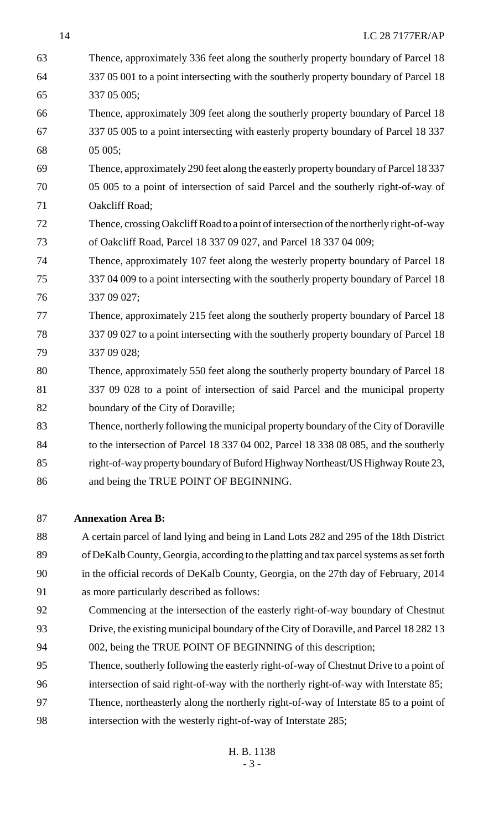| 63 | Thence, approximately 336 feet along the southerly property boundary of Parcel 18       |
|----|-----------------------------------------------------------------------------------------|
| 64 | 337 05 001 to a point intersecting with the southerly property boundary of Parcel 18    |
| 65 | 337 05 005;                                                                             |
| 66 | Thence, approximately 309 feet along the southerly property boundary of Parcel 18       |
| 67 | 337 05 005 to a point intersecting with easterly property boundary of Parcel 18 337     |
| 68 | 05 005;                                                                                 |
| 69 | Thence, approximately 290 feet along the easterly property boundary of Parcel 18337     |
| 70 | 05 005 to a point of intersection of said Parcel and the southerly right-of-way of      |
| 71 | Oakcliff Road;                                                                          |
| 72 | Thence, crossing Oakcliff Road to a point of intersection of the northerly right-of-way |
| 73 | of Oakcliff Road, Parcel 18 337 09 027, and Parcel 18 337 04 009;                       |
| 74 | Thence, approximately 107 feet along the westerly property boundary of Parcel 18        |
| 75 | 337 04 009 to a point intersecting with the southerly property boundary of Parcel 18    |
| 76 | 337 09 027;                                                                             |
| 77 | Thence, approximately 215 feet along the southerly property boundary of Parcel 18       |
| 78 | 337 09 027 to a point intersecting with the southerly property boundary of Parcel 18    |
| 79 | 337 09 028;                                                                             |
| 80 | Thence, approximately 550 feet along the southerly property boundary of Parcel 18       |
| 81 | 337 09 028 to a point of intersection of said Parcel and the municipal property         |
| 82 | boundary of the City of Doraville;                                                      |
| 83 | Thence, northerly following the municipal property boundary of the City of Doraville    |
| 84 | to the intersection of Parcel 18 337 04 002, Parcel 18 338 08 085, and the southerly    |
| 85 | right-of-way property boundary of Buford Highway Northeast/US Highway Route 23,         |
| 86 | and being the TRUE POINT OF BEGINNING.                                                  |

#### **Annexation Area B:**

 A certain parcel of land lying and being in Land Lots 282 and 295 of the 18th District of DeKalb County, Georgia, according to the platting and tax parcel systems as set forth in the official records of DeKalb County, Georgia, on the 27th day of February, 2014

- as more particularly described as follows:
- Commencing at the intersection of the easterly right-of-way boundary of Chestnut
- Drive, the existing municipal boundary of the City of Doraville, and Parcel 18 282 13
- 94 002, being the TRUE POINT OF BEGINNING of this description;
- Thence, southerly following the easterly right-of-way of Chestnut Drive to a point of
- intersection of said right-of-way with the northerly right-of-way with Interstate 85;
- Thence, northeasterly along the northerly right-of-way of Interstate 85 to a point of
- intersection with the westerly right-of-way of Interstate 285;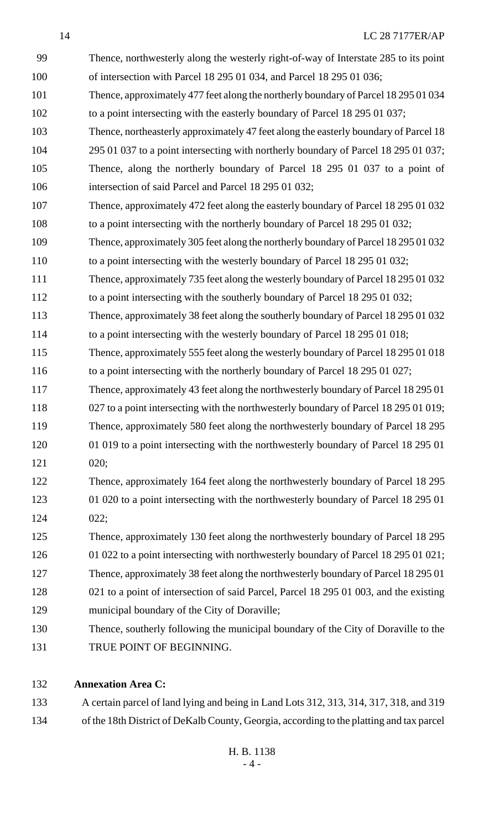| 99  | Thence, northwesterly along the westerly right-of-way of Interstate 285 to its point  |
|-----|---------------------------------------------------------------------------------------|
| 100 | of intersection with Parcel 18 295 01 034, and Parcel 18 295 01 036;                  |
| 101 | Thence, approximately 477 feet along the northerly boundary of Parcel 18 295 01 034   |
| 102 | to a point intersecting with the easterly boundary of Parcel 18 295 01 037;           |
| 103 | Thence, northeasterly approximately 47 feet along the easterly boundary of Parcel 18  |
| 104 | 295 01 037 to a point intersecting with northerly boundary of Parcel 18 295 01 037;   |
| 105 | Thence, along the northerly boundary of Parcel 18 295 01 037 to a point of            |
| 106 | intersection of said Parcel and Parcel 18 295 01 032;                                 |
| 107 | Thence, approximately 472 feet along the easterly boundary of Parcel 18 295 01 032    |
| 108 | to a point intersecting with the northerly boundary of Parcel 18 295 01 032;          |
| 109 | Thence, approximately 305 feet along the northerly boundary of Parcel 18 295 01 032   |
| 110 | to a point intersecting with the westerly boundary of Parcel 18 295 01 032;           |
| 111 | Thence, approximately 735 feet along the westerly boundary of Parcel 18 295 01 032    |
| 112 | to a point intersecting with the southerly boundary of Parcel 18 295 01 032;          |
| 113 | Thence, approximately 38 feet along the southerly boundary of Parcel 18 295 01 032    |
| 114 | to a point intersecting with the westerly boundary of Parcel 18 295 01 018;           |
| 115 | Thence, approximately 555 feet along the westerly boundary of Parcel 18 295 01 018    |
| 116 | to a point intersecting with the northerly boundary of Parcel 18 295 01 027;          |
| 117 | Thence, approximately 43 feet along the northwesterly boundary of Parcel 18 295 01    |
| 118 | 027 to a point intersecting with the northwesterly boundary of Parcel 18 295 01 019;  |
| 119 | Thence, approximately 580 feet along the northwesterly boundary of Parcel 18 295      |
| 120 | 01 019 to a point intersecting with the northwesterly boundary of Parcel 18 295 01    |
| 121 | 020;                                                                                  |
| 122 | Thence, approximately 164 feet along the northwesterly boundary of Parcel 18 295      |
| 123 | 01 020 to a point intersecting with the northwesterly boundary of Parcel 18 295 01    |
| 124 | 022;                                                                                  |
| 125 | Thence, approximately 130 feet along the northwesterly boundary of Parcel 18 295      |
| 126 | 01 022 to a point intersecting with northwesterly boundary of Parcel 18 295 01 021;   |
| 127 | Thence, approximately 38 feet along the northwesterly boundary of Parcel 18 295 01    |
| 128 | 021 to a point of intersection of said Parcel, Parcel 18 295 01 003, and the existing |
| 129 | municipal boundary of the City of Doraville;                                          |
| 130 | Thence, southerly following the municipal boundary of the City of Doraville to the    |
| 131 | TRUE POINT OF BEGINNING.                                                              |

# **Annexation Area C:**

 A certain parcel of land lying and being in Land Lots 312, 313, 314, 317, 318, and 319 of the 18th District of DeKalb County, Georgia, according to the platting and tax parcel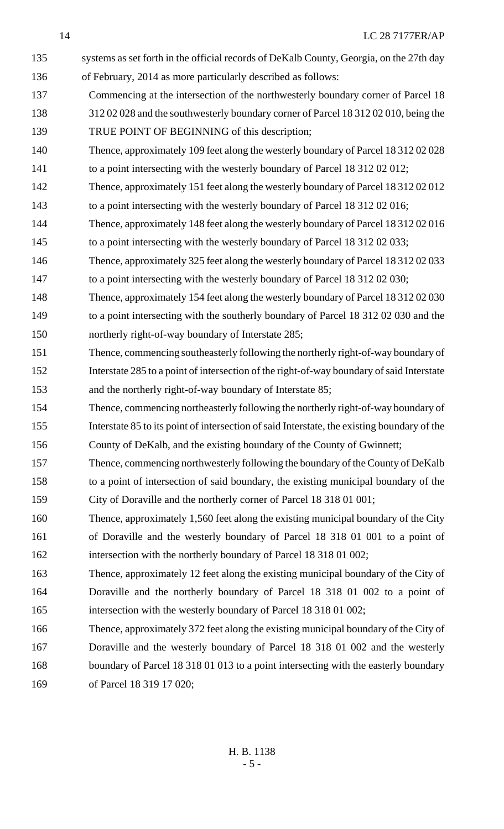135 systems as set forth in the official records of DeKalb County, Georgia, on the 27th day of February, 2014 as more particularly described as follows: Commencing at the intersection of the northwesterly boundary corner of Parcel 18 312 02 028 and the southwesterly boundary corner of Parcel 18 312 02 010, being the TRUE POINT OF BEGINNING of this description; Thence, approximately 109 feet along the westerly boundary of Parcel 18 312 02 028 141 to a point intersecting with the westerly boundary of Parcel 18 312 02 012; Thence, approximately 151 feet along the westerly boundary of Parcel 18 312 02 012 to a point intersecting with the westerly boundary of Parcel 18 312 02 016; Thence, approximately 148 feet along the westerly boundary of Parcel 18 312 02 016 to a point intersecting with the westerly boundary of Parcel 18 312 02 033; Thence, approximately 325 feet along the westerly boundary of Parcel 18 312 02 033 to a point intersecting with the westerly boundary of Parcel 18 312 02 030; Thence, approximately 154 feet along the westerly boundary of Parcel 18 312 02 030 to a point intersecting with the southerly boundary of Parcel 18 312 02 030 and the northerly right-of-way boundary of Interstate 285; Thence, commencing southeasterly following the northerly right-of-way boundary of Interstate 285 to a point of intersection of the right-of-way boundary of said Interstate and the northerly right-of-way boundary of Interstate 85; Thence, commencing northeasterly following the northerly right-of-way boundary of Interstate 85 to its point of intersection of said Interstate, the existing boundary of the County of DeKalb, and the existing boundary of the County of Gwinnett; Thence, commencing northwesterly following the boundary of the County of DeKalb to a point of intersection of said boundary, the existing municipal boundary of the City of Doraville and the northerly corner of Parcel 18 318 01 001; Thence, approximately 1,560 feet along the existing municipal boundary of the City of Doraville and the westerly boundary of Parcel 18 318 01 001 to a point of intersection with the northerly boundary of Parcel 18 318 01 002; Thence, approximately 12 feet along the existing municipal boundary of the City of Doraville and the northerly boundary of Parcel 18 318 01 002 to a point of intersection with the westerly boundary of Parcel 18 318 01 002; Thence, approximately 372 feet along the existing municipal boundary of the City of Doraville and the westerly boundary of Parcel 18 318 01 002 and the westerly boundary of Parcel 18 318 01 013 to a point intersecting with the easterly boundary of Parcel 18 319 17 020;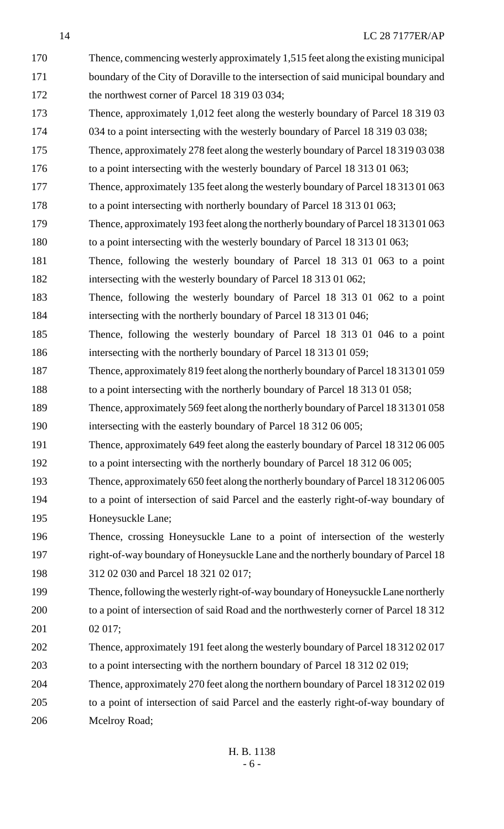| 170 | Thence, commencing westerly approximately 1,515 feet along the existing municipal     |
|-----|---------------------------------------------------------------------------------------|
| 171 | boundary of the City of Doraville to the intersection of said municipal boundary and  |
| 172 | the northwest corner of Parcel 18 319 03 034;                                         |
| 173 | Thence, approximately 1,012 feet along the westerly boundary of Parcel 18 319 03      |
| 174 | 034 to a point intersecting with the westerly boundary of Parcel 18 319 03 038;       |
| 175 | Thence, approximately 278 feet along the westerly boundary of Parcel 18 319 03 038    |
| 176 | to a point intersecting with the westerly boundary of Parcel 18 313 01 063;           |
| 177 | Thence, approximately 135 feet along the westerly boundary of Parcel 18 313 01 063    |
| 178 | to a point intersecting with northerly boundary of Parcel 18 313 01 063;              |
| 179 | Thence, approximately 193 feet along the northerly boundary of Parcel 18 313 01 063   |
| 180 | to a point intersecting with the westerly boundary of Parcel 18 313 01 063;           |
| 181 | Thence, following the westerly boundary of Parcel 18 313 01 063 to a point            |
| 182 | intersecting with the westerly boundary of Parcel 18 313 01 062;                      |
| 183 | Thence, following the westerly boundary of Parcel 18 313 01 062 to a point            |
| 184 | intersecting with the northerly boundary of Parcel 18 313 01 046;                     |
| 185 | Thence, following the westerly boundary of Parcel 18 313 01 046 to a point            |
| 186 | intersecting with the northerly boundary of Parcel 18 313 01 059;                     |
| 187 | Thence, approximately 819 feet along the northerly boundary of Parcel 18 313 01 059   |
| 188 | to a point intersecting with the northerly boundary of Parcel 18 313 01 058;          |
| 189 | Thence, approximately 569 feet along the northerly boundary of Parcel 18 313 01 058   |
| 190 | intersecting with the easterly boundary of Parcel 18 312 06 005;                      |
| 191 | Thence, approximately 649 feet along the easterly boundary of Parcel 18 312 06 005    |
| 192 | to a point intersecting with the northerly boundary of Parcel 18 312 06 005;          |
| 193 | Thence, approximately 650 feet along the northerly boundary of Parcel 1831206005      |
| 194 | to a point of intersection of said Parcel and the easterly right-of-way boundary of   |
| 195 | Honeysuckle Lane;                                                                     |
| 196 | Thence, crossing Honeysuckle Lane to a point of intersection of the westerly          |
| 197 | right-of-way boundary of Honeysuckle Lane and the northerly boundary of Parcel 18     |
| 198 | 312 02 030 and Parcel 18 321 02 017;                                                  |
| 199 | Thence, following the westerly right-of-way boundary of Honeysuckle Lane northerly    |
| 200 | to a point of intersection of said Road and the northwesterly corner of Parcel 18 312 |
| 201 | 02017;                                                                                |
| 202 | Thence, approximately 191 feet along the westerly boundary of Parcel 18 312 02 017    |
| 203 | to a point intersecting with the northern boundary of Parcel 18 312 02 019;           |
| 204 | Thence, approximately 270 feet along the northern boundary of Parcel 18 312 02 019    |
| 205 | to a point of intersection of said Parcel and the easterly right-of-way boundary of   |
| 206 | Mcelroy Road;                                                                         |